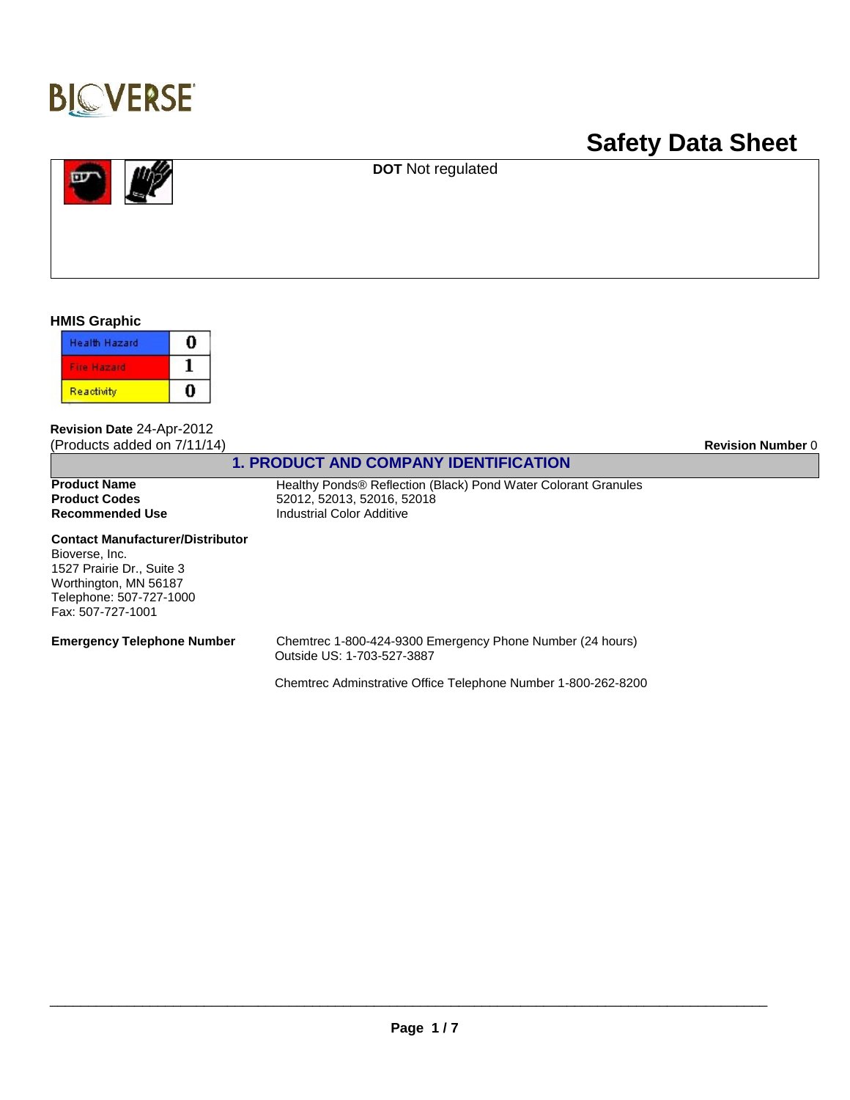

# **Safety Data Sheet**



**DOT** Not regulated

**HMIS Graphic**

| <b>Health Hazard</b> |  |
|----------------------|--|
| H az arc             |  |
| Reactivity           |  |

**Revision Date** 24-Apr-2012 (Products added on 7/11/14) **Revision Number** 0

## **1. PRODUCT AND COMPANY IDENTIFICATION**

**Recommended Use**

**Product Name** Healthy Ponds® Reflection (Black) Pond Water Colorant Granules<br> **Product Codes** 52012, 52013, 52016, 52018 **Product Codes** 52012, 52013, 52016, 52018 Industrial Color Additive

#### **Contact Manufacturer/Distributor**

Bioverse, Inc. 1527 Prairie Dr., Suite 3 Worthington, MN 56187 Telephone: 507-727-1000 Fax: 507-727-1001

**Emergency Telephone Number** Chemtrec 1-800-424-9300 Emergency Phone Number (24 hours) Outside US: 1-703-527-3887

Chemtrec Adminstrative Office Telephone Number 1-800-262-8200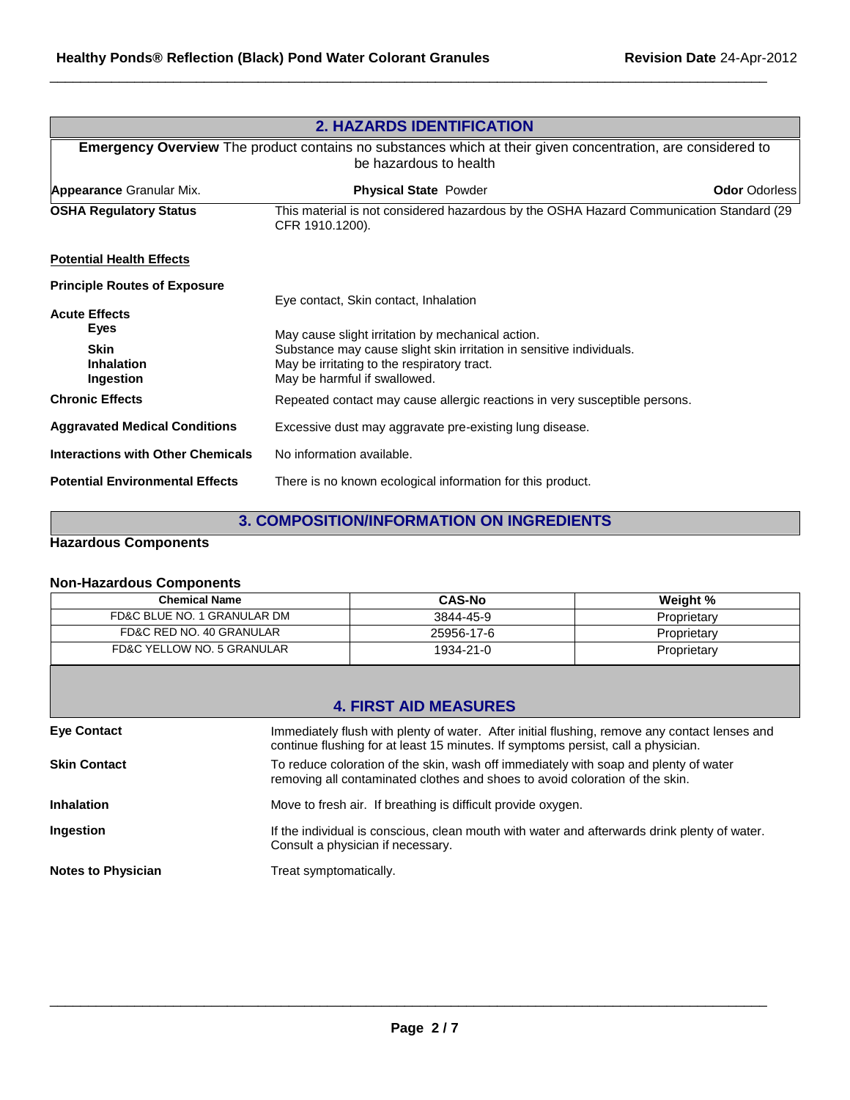| <b>2. HAZARDS IDENTIFICATION</b><br><b>Emergency Overview</b> The product contains no substances which at their given concentration, are considered to<br>be hazardous to health |                                                                                                                                                     |  |
|----------------------------------------------------------------------------------------------------------------------------------------------------------------------------------|-----------------------------------------------------------------------------------------------------------------------------------------------------|--|
|                                                                                                                                                                                  |                                                                                                                                                     |  |
| <b>OSHA Regulatory Status</b>                                                                                                                                                    | This material is not considered hazardous by the OSHA Hazard Communication Standard (29<br>CFR 1910.1200).                                          |  |
| <b>Potential Health Effects</b>                                                                                                                                                  |                                                                                                                                                     |  |
| <b>Principle Routes of Exposure</b>                                                                                                                                              | Eye contact, Skin contact, Inhalation                                                                                                               |  |
| <b>Acute Effects</b><br><b>Eyes</b>                                                                                                                                              | May cause slight irritation by mechanical action.                                                                                                   |  |
| <b>Skin</b><br><b>Inhalation</b><br>Ingestion                                                                                                                                    | Substance may cause slight skin irritation in sensitive individuals.<br>May be irritating to the respiratory tract.<br>May be harmful if swallowed. |  |
| <b>Chronic Effects</b>                                                                                                                                                           | Repeated contact may cause allergic reactions in very susceptible persons.                                                                          |  |
| <b>Aggravated Medical Conditions</b>                                                                                                                                             | Excessive dust may aggravate pre-existing lung disease.                                                                                             |  |
| <b>Interactions with Other Chemicals</b>                                                                                                                                         | No information available.                                                                                                                           |  |
| <b>Potential Environmental Effects</b>                                                                                                                                           | There is no known ecological information for this product.                                                                                          |  |

 $\Box$ 

## **3. COMPOSITION/INFORMATION ON INGREDIENTS**

## **Hazardous Components**

## **Non-Hazardous Components**

| <b>Chemical Name</b>        |                        | <b>CAS-No</b>                                                                                                                                                                      | Weight %    |
|-----------------------------|------------------------|------------------------------------------------------------------------------------------------------------------------------------------------------------------------------------|-------------|
| FD&C BLUE NO. 1 GRANULAR DM |                        | 3844-45-9                                                                                                                                                                          | Proprietary |
| FD&C RED NO. 40 GRANULAR    |                        | 25956-17-6                                                                                                                                                                         | Proprietary |
| FD&C YELLOW NO. 5 GRANULAR  |                        | 1934-21-0                                                                                                                                                                          | Proprietary |
|                             |                        | <b>4. FIRST AID MEASURES</b>                                                                                                                                                       |             |
| <b>Eve Contact</b>          |                        | Immediately flush with plenty of water. After initial flushing, remove any contact lenses and<br>continue flushing for at least 15 minutes. If symptoms persist, call a physician. |             |
| <b>Skin Contact</b>         |                        | To reduce coloration of the skin, wash off immediately with soap and plenty of water<br>removing all contaminated clothes and shoes to avoid coloration of the skin.               |             |
| <b>Inhalation</b>           |                        | Move to fresh air. If breathing is difficult provide oxygen.                                                                                                                       |             |
| Ingestion                   |                        | If the individual is conscious, clean mouth with water and afterwards drink plenty of water.<br>Consult a physician if necessary.                                                  |             |
| <b>Notes to Physician</b>   | Treat symptomatically. |                                                                                                                                                                                    |             |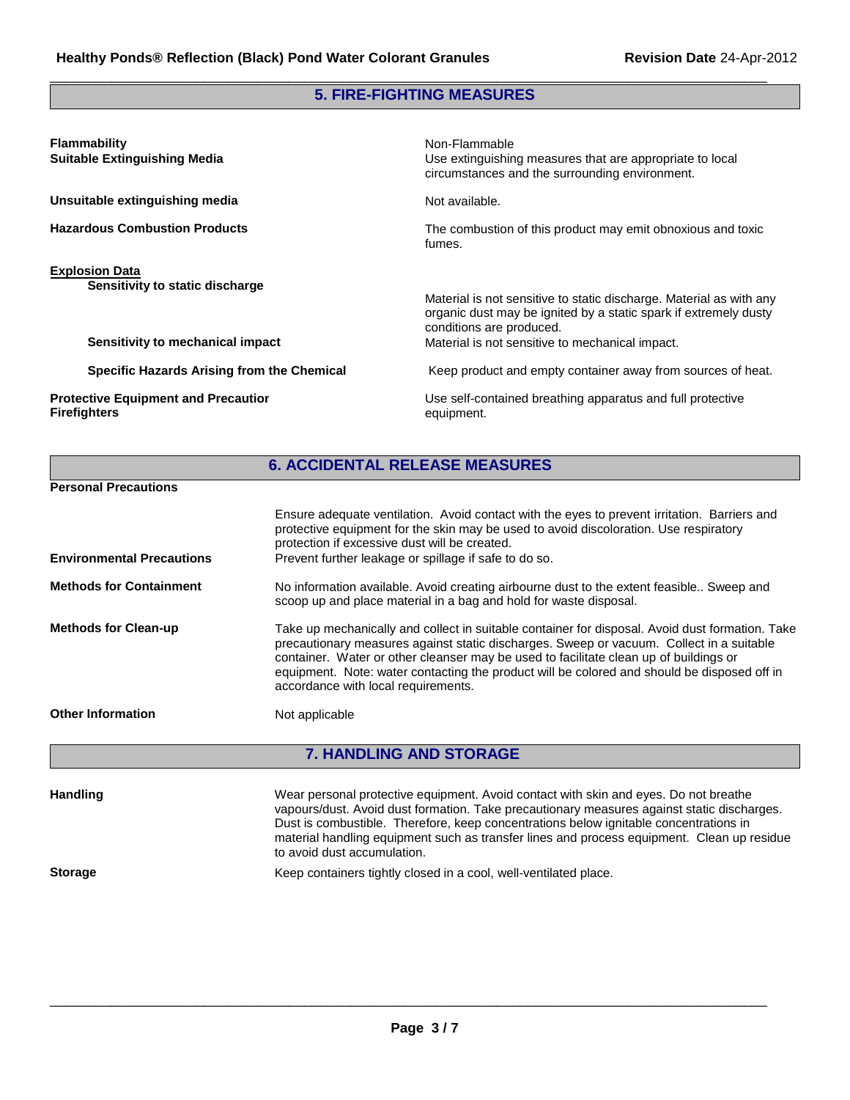## **5. FIRE-FIGHTING MEASURES**

 $\Box$ 

| <b>Flammability</b><br><b>Suitable Extinguishing Media</b>                                   | Non-Flammable<br>Use extinguishing measures that are appropriate to local<br>circumstances and the surrounding environment.                                                                                            |
|----------------------------------------------------------------------------------------------|------------------------------------------------------------------------------------------------------------------------------------------------------------------------------------------------------------------------|
| Unsuitable extinguishing media                                                               | Not available.                                                                                                                                                                                                         |
| <b>Hazardous Combustion Products</b>                                                         | The combustion of this product may emit obnoxious and toxic<br>fumes.                                                                                                                                                  |
| <b>Explosion Data</b><br>Sensitivity to static discharge<br>Sensitivity to mechanical impact | Material is not sensitive to static discharge. Material as with any<br>organic dust may be ignited by a static spark if extremely dusty<br>conditions are produced.<br>Material is not sensitive to mechanical impact. |
| Specific Hazards Arising from the Chemical                                                   | Keep product and empty container away from sources of heat.                                                                                                                                                            |
| <b>Protective Equipment and Precautior</b><br><b>Firefighters</b>                            | Use self-contained breathing apparatus and full protective<br>equipment.                                                                                                                                               |

|                                  | <b>6. ACCIDENTAL RELEASE MEASURES</b>                                                                                                                                                                                                                                                                                                                                                                                      |
|----------------------------------|----------------------------------------------------------------------------------------------------------------------------------------------------------------------------------------------------------------------------------------------------------------------------------------------------------------------------------------------------------------------------------------------------------------------------|
| <b>Personal Precautions</b>      |                                                                                                                                                                                                                                                                                                                                                                                                                            |
| <b>Environmental Precautions</b> | Ensure adequate ventilation. Avoid contact with the eyes to prevent irritation. Barriers and<br>protective equipment for the skin may be used to avoid discoloration. Use respiratory<br>protection if excessive dust will be created.<br>Prevent further leakage or spillage if safe to do so.                                                                                                                            |
| <b>Methods for Containment</b>   | No information available. Avoid creating airbourne dust to the extent feasible Sweep and<br>scoop up and place material in a bag and hold for waste disposal.                                                                                                                                                                                                                                                              |
| <b>Methods for Clean-up</b>      | Take up mechanically and collect in suitable container for disposal. Avoid dust formation. Take<br>precautionary measures against static discharges. Sweep or vacuum. Collect in a suitable<br>container. Water or other cleanser may be used to facilitate clean up of buildings or<br>equipment. Note: water contacting the product will be colored and should be disposed off in<br>accordance with local requirements. |
| <b>Other Information</b>         | Not applicable                                                                                                                                                                                                                                                                                                                                                                                                             |
|                                  | <b>7. HANDLING AND STORAGE</b>                                                                                                                                                                                                                                                                                                                                                                                             |
| <b>Handling</b>                  | Wear personal protective equipment. Avoid contact with skin and eyes. Do not breathe<br>vapours/dust. Avoid dust formation. Take precautionary measures against static discharges.<br>Dust is combustible. Therefore, keep concentrations below ignitable concentrations in<br>material handling equipment such as transfer lines and process equipment. Clean up residue<br>to avoid dust accumulation.                   |

**Storage** Keep containers tightly closed in a cool, well-ventilated place.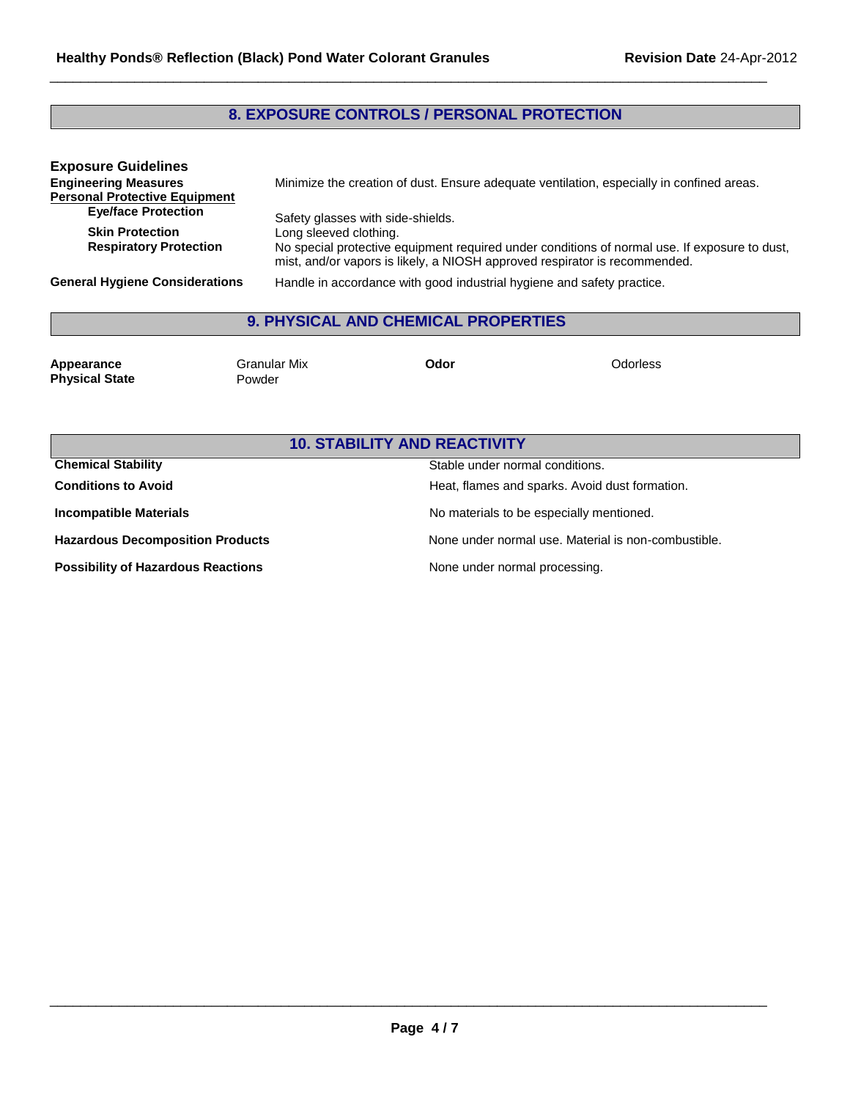## **8. EXPOSURE CONTROLS / PERSONAL PROTECTION**

 $\Box$ 

| <b>Exposure Guidelines</b><br><b>Engineering Measures</b><br><b>Personal Protective Equipment</b> | Minimize the creation of dust. Ensure adequate ventilation, especially in confined areas.                                                                                                             |
|---------------------------------------------------------------------------------------------------|-------------------------------------------------------------------------------------------------------------------------------------------------------------------------------------------------------|
| <b>Eye/face Protection</b>                                                                        | Safety glasses with side-shields.                                                                                                                                                                     |
| <b>Skin Protection</b><br><b>Respiratory Protection</b>                                           | Long sleeved clothing.<br>No special protective equipment required under conditions of normal use. If exposure to dust,<br>mist, and/or vapors is likely, a NIOSH approved respirator is recommended. |
| <b>General Hygiene Considerations</b>                                                             | Handle in accordance with good industrial hygiene and safety practice.                                                                                                                                |

## **9. PHYSICAL AND CHEMICAL PROPERTIES**

| Appearance<br><b>Physical State</b> | Granular Mix<br>Powder | Odor | Odorless |
|-------------------------------------|------------------------|------|----------|
|                                     |                        |      |          |

## **10. STABILITY AND REACTIVITY**

| <b>Chemical Stability</b>                 | Stable under normal conditions.                     |
|-------------------------------------------|-----------------------------------------------------|
| <b>Conditions to Avoid</b>                | Heat, flames and sparks. Avoid dust formation.      |
| <b>Incompatible Materials</b>             | No materials to be especially mentioned.            |
| <b>Hazardous Decomposition Products</b>   | None under normal use. Material is non-combustible. |
| <b>Possibility of Hazardous Reactions</b> | None under normal processing.                       |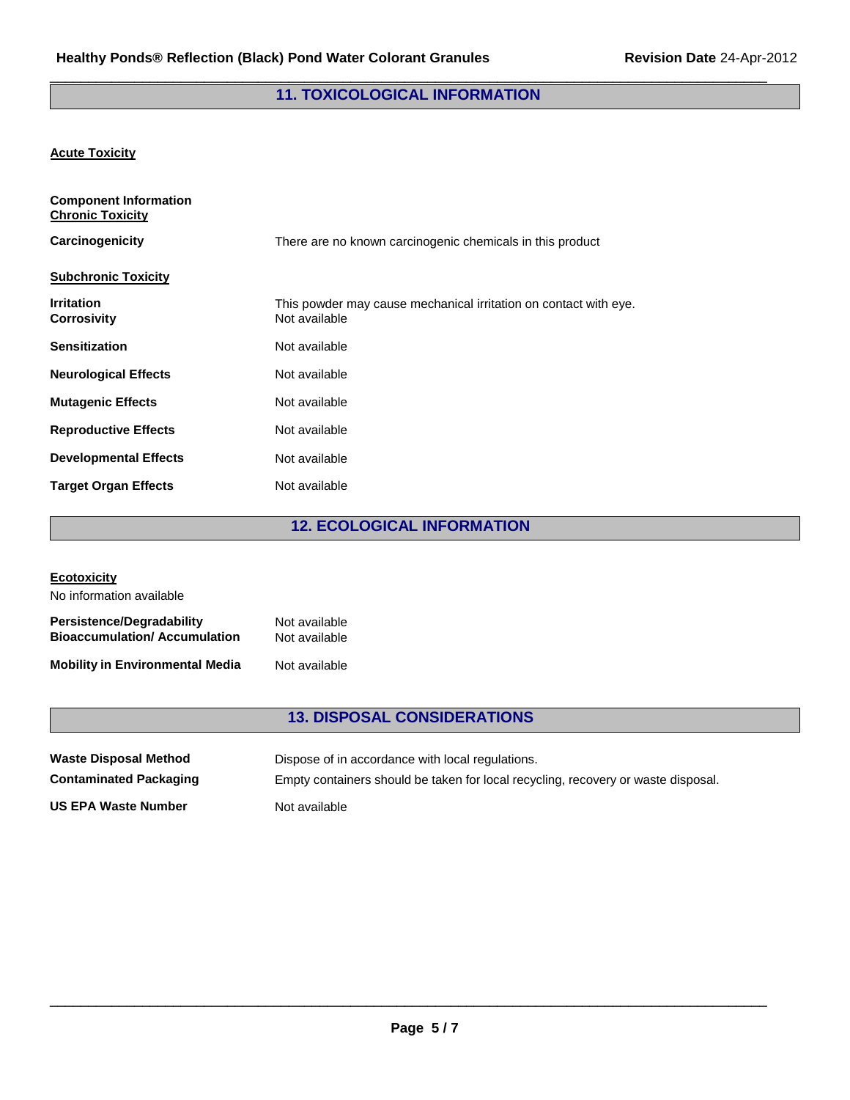## $\Box$ **11. TOXICOLOGICAL INFORMATION**

## **Acute Toxicity**

| <b>Component Information</b><br><b>Chronic Toxicity</b> |                                                                                   |
|---------------------------------------------------------|-----------------------------------------------------------------------------------|
| Carcinogenicity                                         | There are no known carcinogenic chemicals in this product                         |
| <b>Subchronic Toxicity</b>                              |                                                                                   |
| <b>Irritation</b><br><b>Corrosivity</b>                 | This powder may cause mechanical irritation on contact with eye.<br>Not available |
| <b>Sensitization</b>                                    | Not available                                                                     |
| <b>Neurological Effects</b>                             | Not available                                                                     |
| <b>Mutagenic Effects</b>                                | Not available                                                                     |
| <b>Reproductive Effects</b>                             | Not available                                                                     |
| <b>Developmental Effects</b>                            | Not available                                                                     |
| <b>Target Organ Effects</b>                             | Not available                                                                     |

## **12. ECOLOGICAL INFORMATION**

| <b>Ecotoxicity</b>                                                      |                                |
|-------------------------------------------------------------------------|--------------------------------|
| No information available                                                |                                |
| <b>Persistence/Degradability</b><br><b>Bioaccumulation/Accumulation</b> | Not available<br>Not available |
| <b>Mobility in Environmental Media</b>                                  | Not available                  |

## **13. DISPOSAL CONSIDERATIONS**

| <b>Waste Disposal Method</b>  | Dispose of in accordance with local regulations.                                  |
|-------------------------------|-----------------------------------------------------------------------------------|
| <b>Contaminated Packaging</b> | Empty containers should be taken for local recycling, recovery or waste disposal. |
| <b>US EPA Waste Number</b>    | Not available                                                                     |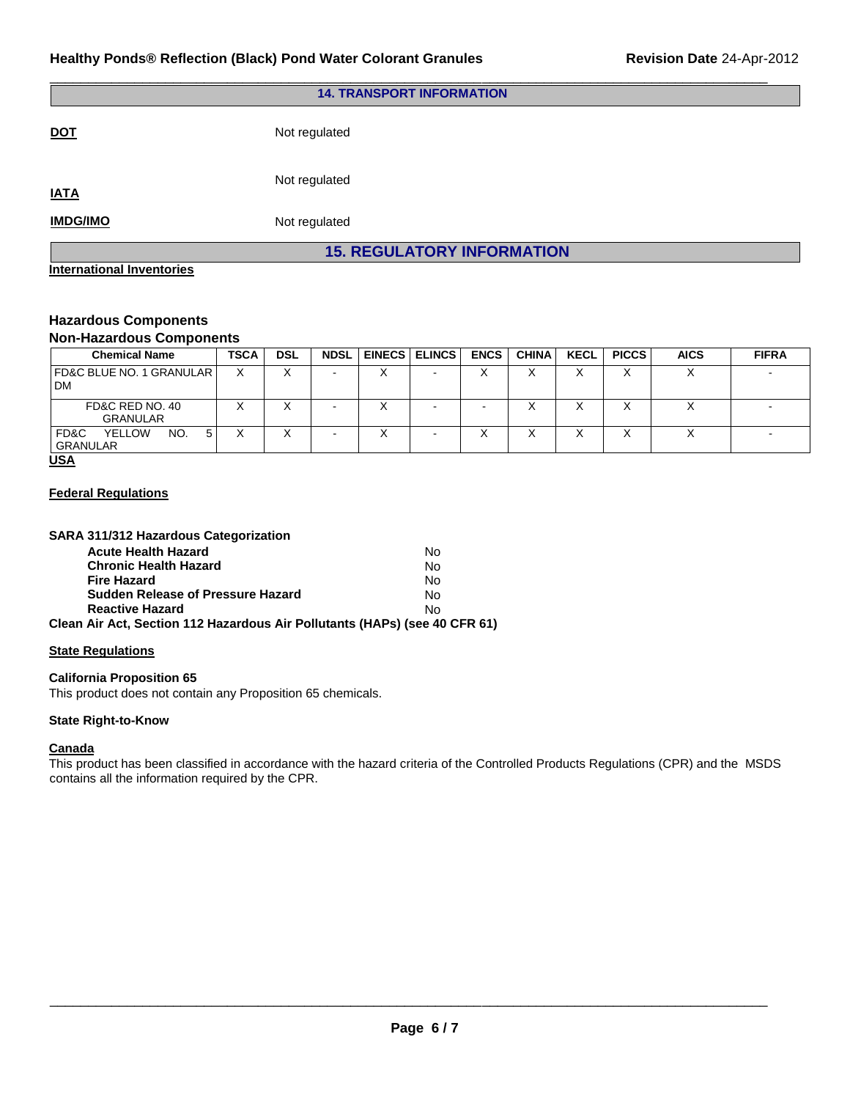| <b>14. TRANSPORT INFORMATION</b>  |               |  |
|-----------------------------------|---------------|--|
| <b>DOT</b>                        | Not regulated |  |
| <b>IATA</b>                       | Not regulated |  |
| <b>IMDG/IMO</b>                   | Not regulated |  |
| <b>15. REGULATORY INFORMATION</b> |               |  |
| <b>International Inventories</b>  |               |  |

\_\_\_\_\_\_\_\_\_\_\_\_\_\_\_\_\_\_\_\_\_\_\_\_\_\_\_\_\_\_\_\_\_\_\_\_\_\_\_\_\_\_\_\_\_\_\_\_\_\_\_\_\_\_\_\_\_\_\_\_\_\_\_\_\_\_\_\_\_\_\_\_\_\_\_\_\_\_\_\_\_\_\_\_\_\_\_\_\_\_\_\_\_

#### **Hazardous Components Non-Hazardous Components**

| <u>HUIFIIQLAHUUUS OOIIIDOIIUIIU</u>            |             |            |             |  |                      |             |              |             |              |             |              |
|------------------------------------------------|-------------|------------|-------------|--|----------------------|-------------|--------------|-------------|--------------|-------------|--------------|
| <b>Chemical Name</b>                           | <b>TSCA</b> | <b>DSL</b> | <b>NDSL</b> |  | <b>EINECS ELINCS</b> | <b>ENCS</b> | <b>CHINA</b> | <b>KECL</b> | <b>PICCS</b> | <b>AICS</b> | <b>FIFRA</b> |
| <b>FD&amp;C BLUE NO. 1 GRANULAR  </b><br>DM    |             | ◡<br>∧     |             |  |                      |             | ⌒            | ∧           |              |             |              |
| FD&C RED NO. 40<br><b>GRANULAR</b>             |             | v          |             |  |                      |             | ⌒            | ∧           |              |             |              |
| FD&C<br><b>YELLOW</b><br>NO.<br>5.<br>GRANULAR |             |            |             |  |                      |             | ⌒            | ∧           |              |             |              |
| $\overline{11}$                                |             |            |             |  |                      |             |              |             |              |             |              |

#### **USA**

## **Federal Regulations**

| SARA 311/312 Hazardous Categorization                                      |           |
|----------------------------------------------------------------------------|-----------|
| <b>Acute Health Hazard</b>                                                 | N٥        |
| <b>Chronic Health Hazard</b>                                               | No        |
| <b>Fire Hazard</b>                                                         | <b>No</b> |
| <b>Sudden Release of Pressure Hazard</b>                                   | Nο        |
| <b>Reactive Hazard</b>                                                     | Nο        |
| Clean Air Act, Section 112 Hazardous Air Pollutants (HAPs) (see 40 CFR 61) |           |
|                                                                            |           |

#### **State Regulations**

#### **California Proposition 65**

This product does not contain any Proposition 65 chemicals.

## **State Right-to-Know**

## **Canada**

This product has been classified in accordance with the hazard criteria of the Controlled Products Regulations (CPR) and the MSDS contains all the information required by the CPR.